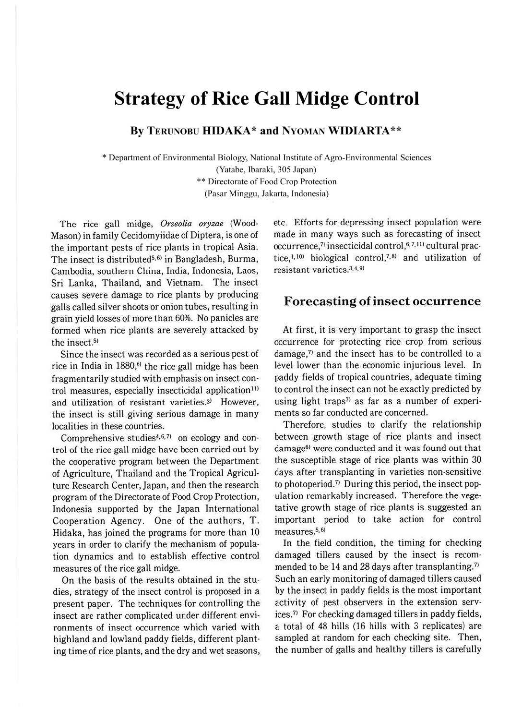# **Strategy of Rice Gall Midge Control**

**By TERUNOBU HIDAKA\* and NYOMAN WIDIARTA\*\***

\* Department of Environmental Biology, National Institute of Agro-Environmental Sciences

(Yatabe, Ibaraki, 305 Japan)

\*\* Directorate of Food Crop Protection

(Pasar Minggu, Jakarta, Indonesia)

The rice gall midge, *Orseolia oryzae* (Wood-Mason) in family Cecidomyiidae of Diptera, is one of the important pests of rice plants in tropical Asia. The insect is distributed<sup>5,6)</sup> in Bangladesh, Burma, Cambodia, southern China, India, Indonesia, Laos, Sri Lanka, Thailand, and Vietnam. The insect causes severe damage to rice plants by producing galls called silver shoots or onion tubes, resulting in grain yield losses of more than 60%. No panicles are formed when rice plants are severely attacked by the insect.<sup>5)</sup>

Since the insect was recorded as a serious pest of rice in India in  $1880$ ,<sup>6)</sup> the rice gall midge has been fragmentarily studied with emphasis on insect control measures, especially insecticidal application<sup>11)</sup> and utilization of resistant varieties.<sup>3)</sup> However, the insect is still giving serious damage in many localities in these countries.

Comprehensive studies<sup>4,6,7)</sup> on ecology and control of the rice gall midge have been carried out by the cooperative program between the Department of Agriculture, Thailand and the Tropical Agriculture Research Center, Japan, and then the research program of the Directorate of Food Crop Protection, Indonesia supported by the Japan International Cooperation Agency. One of the authors, T. Hidaka, has joined the programs for more than 10 years in order to clarify the mechanism of population dynamics and to establish effective control measures of the rice gall midge.

On the basis of the results obtained in the studies, strategy of the insect control is proposed in a present paper. The techniques for controlling the insect are rather complicated under different environments of insect occurrence which varied with highland and lowland paddy fields, different planting time of rice plants, and the dry and wet seasons, etc. Efforts for depressing insect population were made in many ways such as forecasting of insect occurrence,<sup>7)</sup> insecticidal control,<sup>6,7,11)</sup> cultural practice,  $1, 10$  biological control,  $7, 8$  and utilization of resistant varieties.3,4,9>

#### **Forecasting of insect occurrence**

At first, it is very important to grasp the insect occurrence for protecting rice crop from serious damage, $7$  and the insect has to be controlled to a level lower than the economic injurious level. In paddy fields of tropical countries, adequate timing to control the insect can not be exactly predicted by using light traps<sup> $\eta$ </sup> as far as a number of experiments so far conducted are concerned.

Therefore, studies to clarify the relationship between growth stage of rice plants and insect damage<sup>6)</sup> were conducted and it was found out that the susceptible stage of rice plants was within 30 days after transplanting in varieties non-sensitive to photoperiod.<sup>7)</sup> During this period, the insect population remarkably increased. Therefore the vegetative growth stage of rice plants is suggested an important period to take action for control measures.<sup>5,6)</sup>

In the field condition, the timing for checking damaged tillers caused by the insect is recommended to be 14 and 28 days after transplanting.<sup>7)</sup> Such an early monitoring of damaged tillers caused by the insect in paddy fields is the most important activity of pest observers in the extension services.<sup>7)</sup> For checking damaged tillers in paddy fields, a total of 48 hills (16 hills with 3 replicates) are sampled at random for each checking site. Then, the number of galls and healthy tillers is carefully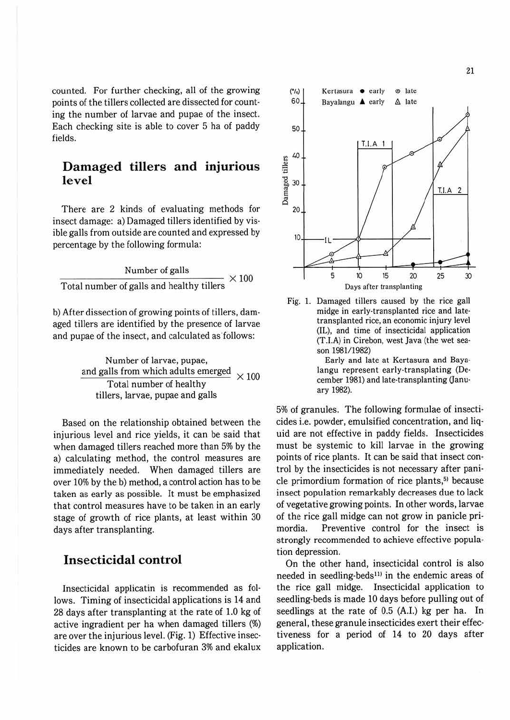counted. For further checking, all of the growing points of the tillers collected are dissected for counting the number of larvae and pupae of the insect. Each checking site is able to cover 5 ha of paddy fields.

# **Damaged tillers and injurious level**

There are 2 kinds of evaluating methods for insect damage: a) Damaged tillers identified by visible galls from outside are counted and expressed by percentage by the following formula:

 $\frac{\hbox{Number of gallons}}{\hbox{Total number of gallons and healthy tillers}} \times 100$ 

b) After dissection of growing points of tillers, damaged tillers are identified by the presence of larvae and pupae of the insect, and calculated as follows:

> Number of larvae, pupae, and galls from which adults emerged Total number of healthy tillers, larvae, pupae and galls  $\times$  100

Based on the relationship obtained between the injurious level and rice yields, it can be said that when damaged tillers reached more than 5% by the a) calculating method, the control measures are immediately needed. When damaged tillers are over 10% by the b) method, a control action has to be taken as early as possible. It must be emphasized that control measures have to be taken in an early stage of growth of rice plants, at least within 30 days after transplanting.

#### **Insecticidal control**

Insecticidal applicatin is recommended as follows. Timing of insecticidal applications is 14 and 28 days after transplanting at the rate of 1.0 kg of active ingradient per ha when damaged tillers (%) are over the injurious level. (Fig. 1) Effective insec· ticides are known to be carbofuran 3% and ekalux



Fig. 1. Damaged tillers caused by the rice gall midge in early-transplanted rice and latetransplanted rice, an economic injury level (IL), and time of insecticidal application (T.I.A) in Cirebon, west Java (the wet season 1981/1982)

> Early and late at Kertasura and Baya· langu represent early-transplating (De· cember 1981) and late-transplanting Oanuary 1982).

5% of granules. The following formulae of insecticides i.e. powder, emulsified concentration, and liquid are not effective in paddy fields. Insecticides must be systemic to kill larvae in the growing points of rice plants. It can be said that insect control by the insecticides is not necessary after panicle primordium formation of rice plants,<sup>5)</sup> because insect population remarkably decreases due to lack of vegetative growing points. In other words, larvae of the rice gall midge can not grow in panicle primordia. Preventive control for the insect is strongly recommended to achieve effective popula· tion depression.

On the other hand, insecticidal control is also needed in seedling-beds<sup>11)</sup> in the endemic areas of the rice gall midge. Insecticidal application to seedling-beds is made 10 days before pulling out of seedlings at the rate of 0.5 (A.I.) kg per ha. In general, these granule insecticides exert their effectiveness for a period of 14 to 20 days after application.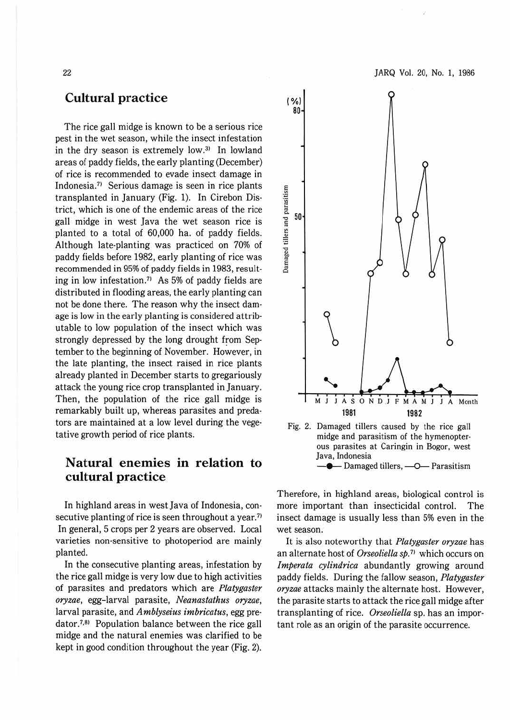### **Cultural practice**

The rice gall midge is known to be a serious rice pest in the wet season, while the insect infestation in the dry season is extremely low. $31$  In lowland areas of paddy fields, the early planting (December) of rice is recommended to evade insect damage in Indonesia.<sup>7)</sup> Serious damage is seen in rice plants transplanted in January (Fig. 1). In Cirebon Dis· trict, which is one of the endemic areas of the rice gall midge in west Java the wet season rice is planted to a total of 60,000 ha. of paddy fields. Although late·planting was practiced on 70% of paddy fields before 1982, early planting of rice was recommended in 95% of paddy fields in 1983, result· ing in low infestation.<sup>71</sup> As 5% of paddy fields are distributed in flooding areas, the early planting can not be done there. The reason why the insect dam· age is low in the early planting is considered attrib· utable to low population of the insect which was strongly depressed by the long drought from Sep· tember to the beginning of November. However, in the late planting, the insect raised in rice plants already planted in December starts to gregariously attack the young rice crop transplanted in January. Then, the population of the rice gall midge is remarkably built up, whereas parasites and preda· tors are maintained at a low level during the vegetative growth period of rice plants.

# **Natural enemies in relation to cultural practice**

In highland areas in west Java of Indonesia, con· secutive planting of rice is seen throughout a year.<sup>71</sup> In general, 5 crops per 2 years are observed. Local varieties non-sensitive to photoperiod are mainly planted.

In the consecutive planting areas, infestation by the rice gall midge is very low due to high activities of parasites and predators which are *Platygaster oryzae,* egg-larval parasite, *Neanastathus oryzae,*  larval parasite, and *Amblyseius imbricatus,* egg pre· dator.<sup>7,8)</sup> Population balance between the rice gall midge and the natural enemies was clarified to be kept in good condition throughout the year (Fig. 2).

80 rs and parasitism<br>  $\frac{60}{2}$ Damaged ti  $\int$ M J J A S O N D J F M A M J J A Month **1981 1982**  Fig. 2. Damaged tillers caused by the rice gall midge and parasitism of the hymenopter· ous parasites at Caringin in Bogor, west Java, Indonesia  $-$  Damaged tillers,  $-$ O $-$  Parasitism

Therefore, in highland areas, biological control is more important than insecticidal control. The insect damage is usually less than 5% even in the wet season.

It is also noteworthy that *Platygaster oryzae* has an alternate host of *Orseoliella sp.* 71 which occurs on *lmperata cylindrica* abundantly growing around paddy fields. During the fallow season, *Platygaster oryzae* attacks mainly the alternate host. However, the parasite starts to attack the rice gall midge after transplanting of rice. *Orseoliella* sp. has an impor· tant role as an origin of the parasite occurrence.

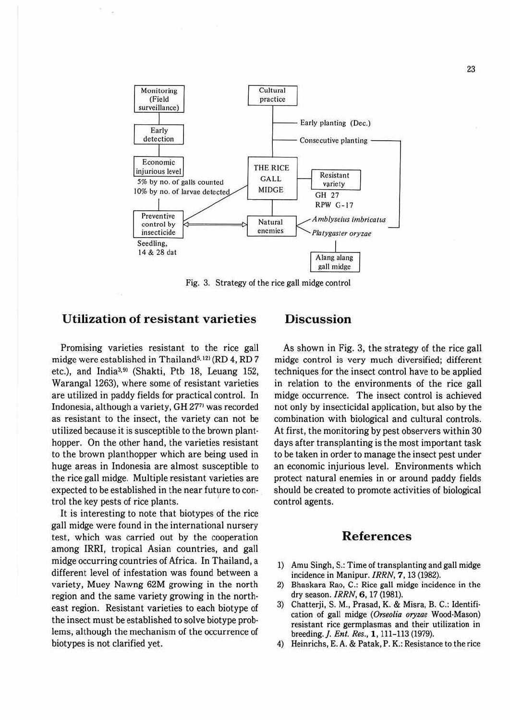

Fig. 3. Strategy of the rice gall midge control

#### **Utilization of resistant varieties**

Promising varieties resistant to the rice gall midge were established in Thailand<sup>5, 12)</sup> (RD 4, RD 7 etc.), and India<sup>3,9)</sup> (Shakti, Ptb 18, Leuang 152, Warangal 1263), where some of resistant varieties are utilized in paddy fields for practical control. In Indonesia, although a variety, GH 2771 was recorded as resistant to the insect, the variety can not be utilized because it is susceptible to the brown plant· hopper. On the other hand, the varieties resistant to the brown planthopper which are being used in huge areas in Indonesia are almost susceptible to the rice gall midge. Multiple resistant varieties are expected to be established in the near future to control the key pests of rice plants. '

It is interesting to note that biotypes of the rice gall midge were found in the international nursery test, which was carried out by the cooperation among IRRI, tropical Asian countries, and gall midge occurring countries of Africa. In Thailand, a different level of infestation was found between a variety, Muey Nawng 62M growing in the north region and the same variety growing in the north· east region. Resistant varieties to each biotype of the insect must be established to solve biotype problems, although the mechanism of the occurrence of biotypes is not clarified yet.

# **Discussion**

As shown in Fig. 3, the strategy of the rice gall midge control is very much diversified; different techniques for the insect control have to be applied in relation to the environments of the rice gall midge occurrence. The insect control is achieved not only by insecticidal application, but also by the combination with biological and cultural controls. At first, the monitoring by pest observers within 30 days after transplanting is the most important task to be taken in order to manage the insect pest under an economic injurious level. Environments which protect natural enemies in or around paddy fields should be created to promote activities of biological control agents.

#### **References**

- 1) Amu Singh, S.: Time of transplanting and gall midge incidence in Manipur. *IRRN,* **7 ,** 13 (1982).
- 2) Bhaskara Rao, C.: Rice gall midge incidence in the dry season. *IRRN,* **6,** 17 (1981).
- 3) Chatterji, S. **M.,** Prasad, **K.** & Misra, B. C.: Identification of gall midge *(Orseolia oryzae* Wood-Mason) resistant rice germplasmas and their utilization in breeding.]. *Ent. Res.,* **l,** 111-113 (1979).
- 4) Heinrichs, E. A. & Patak, P. K.: Resistance to the rice